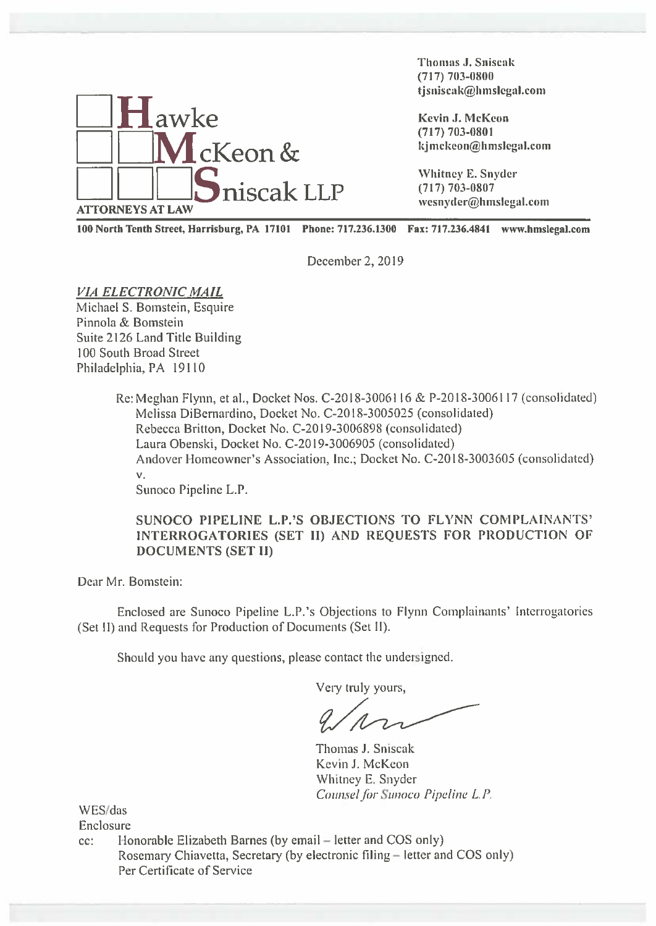

Thomas J. Sniscak (717) 703—0800 thomas J. Sniscak<br>
(717) 703-0800<br>
tjsniscak@hmslegal.com

100 North Tenth Street, Harrisburg, PA 17101 Phone: 717.236.1300 Fax: 717.236.4841 www.hmslegaI.com

December 2, 2019

VIA ELECTRONIC MAIL Michael S. Bomstein, Esquire Pinnola & Bomstein Suite 2126 Land Title Building 100 South Broad Street Philadelphia, PA 19110

> Re: Meghan Flynn, et al., Docket Nos. C-20 18-3006116 & P-20 18-3006117 (consolidated) Melissa DiBernardino, Docket No. C-20 18-3005025 (consolidated) Rebecca Britton, Docket No. C-20 19-3006898 (consolidated) Laura Obenski, Docket No. C-2019-3006905 (consolidated) Andover Homeowner's Association, Inc.; Docket No. C-2018-3003605 (consolidated) V.

Sunoco Pipeline L.P.

SUNOCO PIPELINE L.P.'S OBJECTIONS TO FLYNN COMPLAINANTS' INTERROGATORIES (SET II) AND REQUESTS FOR PRODUCTION OF DOCUMENTS (SET II)

Dear Mr. Bomstein:

Enclosed are Sunoco Pipeline L.P. 's Objections to Flynn Complainants' Interrogatories (Sct II) and Requests for Production of Documents (Set II).

Should you have any questions, please contact the undersigned.

Very truly yours,

Thomas J. Sniscak Kevin J. McKeon Whitney E. Snyder Counsel for Sunoco Pipeline L.P.

WES/das

Enclosure

cc: <sup>I</sup> lonorable Elizabeth Barnes (by email — letter and COS only) Rosemary Chiavetta, Secretary (by electronic filing — letter and COS only) Per Certificate of Service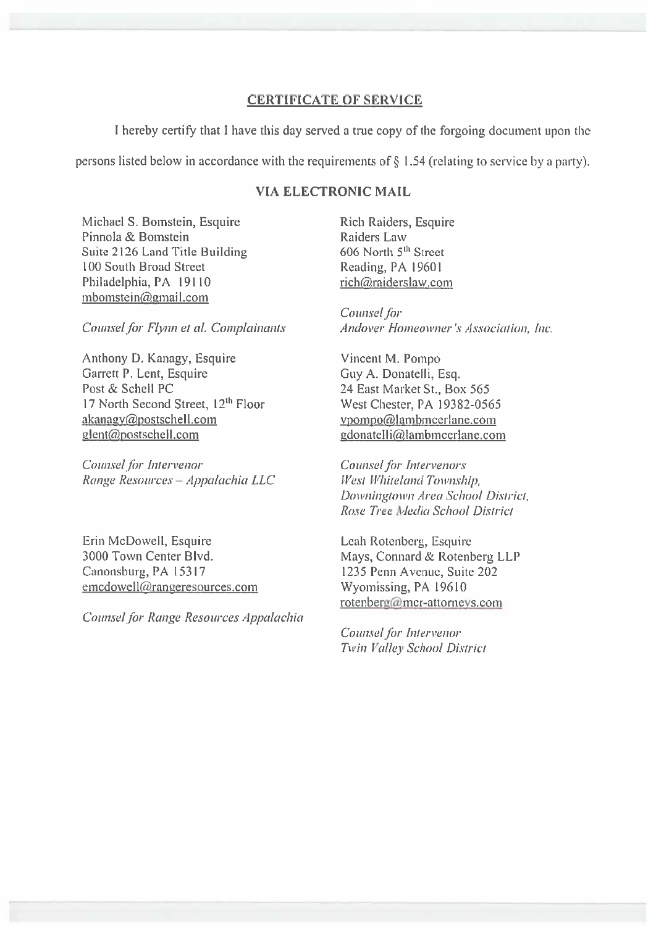## **CERTIFICATE OF SERVICE**

I hereby certify that I have this day served a true copy of the forgoing document upon the

persons listed below in accordance with the requirements of  $\S$  1.54 (relating to service by a party).

## **VIA ELECTRONIC MAIL**

Michael S. Bomstein, Esquire Pinnola & Bomstein Suite 2126 Land Title Building 100 South Broad Street Philadelphia, PA 19110 mbomstein@gmail.com

Counsel for Flynn et al. Complainants

Anthony D. Kanagy, Esquire Garrett P. Lent, Esquire Post & Schell PC 17 North Second Street, 12th Floor akanagy@postschell.com glent@postschell.com

Counsel for Intervenor Range Resources - Appalachia LLC

Erin McDowell, Esquire 3000 Town Center Blvd. Canonsburg, PA 15317 emcdowell@rangeresources.com

Counsel for Range Resources Appalachia

Rich Raiders, Esquire **Raiders Law** 606 North 5<sup>th</sup> Street Reading, PA 19601 rich@raiderslaw.com

Counsel for Andover Homeowner's Association, Inc.

Vincent M. Pompo Guy A. Donatelli, Esq. 24 East Market St., Box 565 West Chester, PA 19382-0565 vpompo@lambmcerlane.com gdonatelli@lambmcerlane.com

Counsel for Intervenors West Whiteland Township, Downingtown Area School District, Rose Tree Media School District

Leah Rotenberg, Esquire Mays, Connard & Rotenberg LLP 1235 Penn Avenue, Suite 202 Wyomissing, PA 19610 rotenberg@mcr-attorneys.com

Counsel for Intervenor Twin Valley School District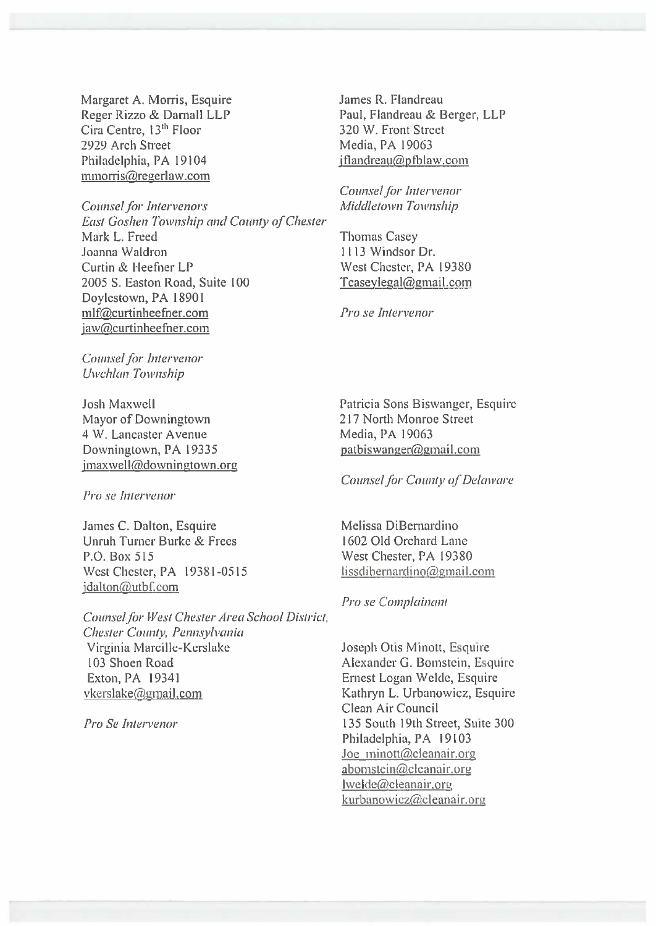Margaret A. Morris, Esquire Reger Rizzo & Darnall LLP Cira Centre, 13<sup>th</sup> Floor 2929 Arch Street Philadelphia, PA 19104 mmorris@regerlaw.com

**Counsel for Intervenors East Goshen Township and County of Chester** Mark L. Freed Joanna Waldron Curtin & Heefner LP 2005 S. Easton Road, Suite 100 Doylestown, PA 18901 mlf@curtinheefner.com jaw@curtinheefner.com

Counsel for Intervenor Uwchlan Township

**Josh Maxwell** Mayor of Downingtown 4 W. Lancaster Avenue Downingtown, PA 19335 jmaxwell@downingtown.org

Pro se Intervenor

James C. Dalton, Esquire Unruh Turner Burke & Frees P.O. Box 515 West Chester, PA 19381-0515 jdalton@utbf.com

Counsel for West Chester Area School District, Chester County, Pennsylvania Virginia Marcille-Kerslake 103 Shoen Road Exton, PA 19341 vkerslake@gmail.com

Pro Se Intervenor

James R. Flandreau Paul, Flandreau & Berger, LLP 320 W. Front Street Media, PA 19063 iflandreau@pfblaw.com

Counsel for Intervenor Middletown Township

**Thomas Casev** 1113 Windsor Dr. West Chester, PA 19380 Tcaseylegal@gmail.com

Pro se Intervenor

Patricia Sons Biswanger, Esquire 217 North Monroe Street Media, PA 19063 patbiswanger@gmail.com

**Counsel for County of Delaware** 

Melissa DiBernardino 1602 Old Orchard Lane West Chester, PA 19380 lissdibernardino@gmail.com

Pro se Complainant

Joseph Otis Minott, Esquire Alexander G. Bomstein, Esquire Ernest Logan Welde, Esquire Kathryn L. Urbanowicz, Esquire Clean Air Council 135 South 19th Street, Suite 300 Philadelphia, PA 19103 Joe minott@cleanair.org abomstein@cleanair.org Iwelde@cleanair.org kurbanowicz@cleanair.org